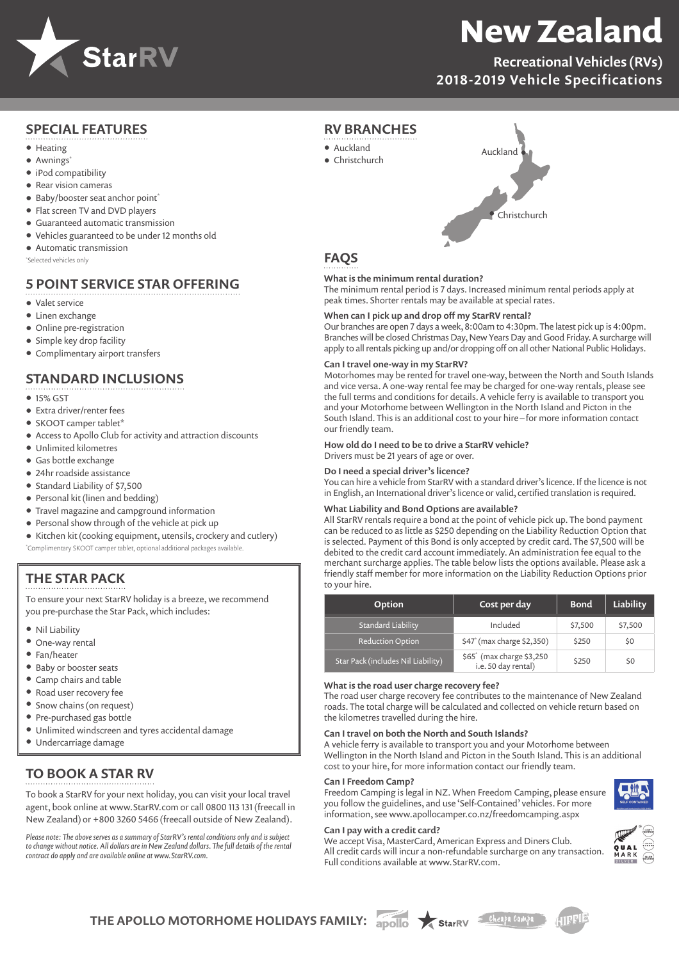

# **New Zealand**

Recreational Vehicles (RVs) 2018-2019 Vehicle Specifications

## SPECIAL FEATURES

- Heating
- Awnings\*
- iPod compatibility
- Rear vision cameras
- Baby/booster seat anchor point<sup>\*</sup>
- Flat screen TV and DVD players
- Guaranteed automatic transmission
- Vehicles guaranteed to be under 12 months old
- Automatic transmission

\*Selected vehicles only

## 5 POINT SERVICE STAR OFFERING

- Valet service
- Linen exchange
- Online pre-registration
- Simple key drop facility
- Complimentary airport transfers

## STANDARD INCLUSIONS

- 15% GST
- Extra driver/renter fees
- SKOOT camper tablet\*
- Access to Apollo Club for activity and attraction discounts
- Unlimited kilometres
- Gas bottle exchange
- 24hr roadside assistance
- Standard Liability of \$7,500
- Personal kit (linen and bedding)
- Travel magazine and campground information
- Personal show through of the vehicle at pick up
- Kitchen kit (cooking equipment, utensils, crockery and cutlery) \*Complimentary SKOOT camper tablet, optional additional packages available.

## THE STAR PACK

To ensure your next StarRV holiday is a breeze, we recommend you pre-purchase the Star Pack, which includes:

- Nil Liability
- One-way rental
- Fan/heater
- Baby or booster seats
- Camp chairs and table
- Road user recovery fee
- Snow chains (on request)
- Pre-purchased gas bottle
- Unlimited windscreen and tyres accidental damage
- Undercarriage damage

## TO BOOK A STAR RV

To book a StarRV for your next holiday, you can visit your local travel agent, book online at www.StarRV.com or call 0800 113 131 (freecall in New Zealand) or +800 3260 5466 (freecall outside of New Zealand).

*Please note: The above serves as a summary of StarRV's rental conditions only and is subject to change without notice. All dollars are in New Zealand dollars. The full details of the rental contract do apply and are available online at www.StarRV.com.*



## **FAOS**

RV BRANCHES

**•** Auckland **•** Christchurch

#### What is the minimum rental duration?

The minimum rental period is 7 days. Increased minimum rental periods apply at peak times. Shorter rentals may be available at special rates.

#### When can I pick up and drop off my StarRV rental?

Our branches are open 7 days a week, 8:00am to 4:30pm. The latest pick up is 4:00pm. Branches will be closed Christmas Day, New Years Day and Good Friday. A surcharge will apply to all rentals picking up and/or dropping off on all other National Public Holidays.

#### Can I travel one-way in my StarRV?

Motorhomes may be rented for travel one-way, between the North and South Islands and vice versa. A one-way rental fee may be charged for one-way rentals, please see the full terms and conditions for details. A vehicle ferry is available to transport you and your Motorhome between Wellington in the North Island and Picton in the South Island. This is an additional cost to your hire – for more information contact our friendly team.

How old do I need to be to drive a StarRV vehicle?

## Drivers must be 21 years of age or over.

Do I need a special driver's licence?

You can hire a vehicle from StarRV with a standard driver's licence. If the licence is not in English, an International driver's licence or valid, certified translation is required.

#### What Liability and Bond Options are available?

All StarRV rentals require a bond at the point of vehicle pick up. The bond payment can be reduced to as little as \$250 depending on the Liability Reduction Option that is selected. Payment of this Bond is only accepted by credit card. The \$7,500 will be debited to the credit card account immediately. An administration fee equal to the merchant surcharge applies. The table below lists the options available. Please ask a friendly staff member for more information on the Liability Reduction Options prior to your hire.

| <b>Option</b>                      | Cost per day                                                 | <b>Bond</b> | Liability |
|------------------------------------|--------------------------------------------------------------|-------------|-----------|
| <b>Standard Liability</b>          | Included                                                     | \$7,500     | \$7,500   |
| <b>Reduction Option</b>            | \$47 <sup>*</sup> (max charge \$2,350)                       | \$250       | \$0       |
| Star Pack (includes Nil Liability) | \$65 <sup>*</sup> (max charge \$3,250<br>i.e. 50 day rental) | \$250       | \$0       |

#### What is the road user charge recovery fee?

The road user charge recovery fee contributes to the maintenance of New Zealand roads. The total charge will be calculated and collected on vehicle return based on the kilometres travelled during the hire.

#### Can I travel on both the North and South Islands?

A vehicle ferry is available to transport you and your Motorhome between Wellington in the North Island and Picton in the South Island. This is an additional cost to your hire, for more information contact our friendly team.

#### Can I Freedom Camp?

Freedom Camping is legal in NZ. When Freedom Camping, please ensure you follow the guidelines, and use 'Self-Contained' vehicles. For more information, see www.apollocamper.co.nz/freedomcamping.aspx

#### Can I pay with a credit card?

We accept Visa, MasterCard, American Express and Diners Club. All credit cards will incur a non-refundable surcharge on any transaction. Full conditions available at www.StarRV.com.